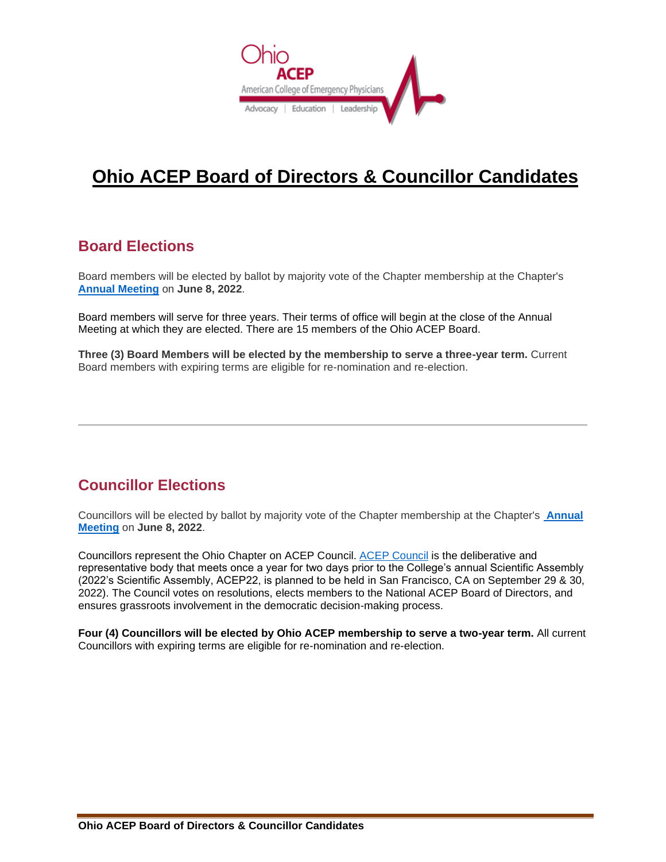

# **Ohio ACEP Board of Directors & Councillor Candidates**

#### **Board Elections**

Board members will be elected by ballot by majority vote of the Chapter membership at the Chapter's **[Annual Meeting](http://www.ohacep.org/annualmeeting)** on **June 8, 2022**.

Board members will serve for three years. Their terms of office will begin at the close of the Annual Meeting at which they are elected. There are 15 members of the Ohio ACEP Board.

**Three (3) Board Members will be elected by the membership to serve a three-year term.** Current Board members with expiring terms are eligible for re-nomination and re-election.

### **Councillor Elections**

Councillors will be elected by ballot by majority vote of the Chapter membership at the Chapter's **[Annual](http://www.ohacep.org/annualmeeting)  [Meeting](http://www.ohacep.org/annualmeeting)** on **June 8, 2022**.

Councillors represent the Ohio Chapter on ACEP Council. [ACEP Council](https://www.acep.org/council) is the deliberative and representative body that meets once a year for two days prior to the College's annual Scientific Assembly (2022's Scientific Assembly, ACEP22, is planned to be held in San Francisco, CA on September 29 & 30, 2022). The Council votes on resolutions, elects members to the National ACEP Board of Directors, and ensures grassroots involvement in the democratic decision-making process.

**Four (4) Councillors will be elected by Ohio ACEP membership to serve a two-year term.** All current Councillors with expiring terms are eligible for re-nomination and re-election.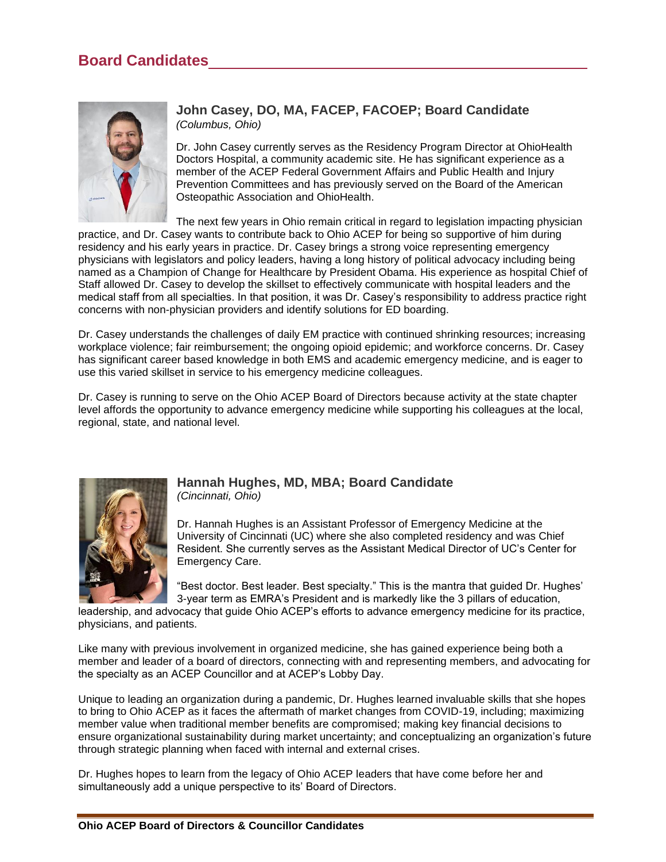

#### **John Casey, DO, MA, FACEP, FACOEP; Board Candidate** *(Columbus, Ohio)*

Dr. John Casey currently serves as the Residency Program Director at OhioHealth Doctors Hospital, a community academic site. He has significant experience as a member of the ACEP Federal Government Affairs and Public Health and Injury Prevention Committees and has previously served on the Board of the American Osteopathic Association and OhioHealth.

The next few years in Ohio remain critical in regard to legislation impacting physician practice, and Dr. Casey wants to contribute back to Ohio ACEP for being so supportive of him during residency and his early years in practice. Dr. Casey brings a strong voice representing emergency physicians with legislators and policy leaders, having a long history of political advocacy including being named as a Champion of Change for Healthcare by President Obama. His experience as hospital Chief of Staff allowed Dr. Casey to develop the skillset to effectively communicate with hospital leaders and the medical staff from all specialties. In that position, it was Dr. Casey's responsibility to address practice right concerns with non-physician providers and identify solutions for ED boarding.

Dr. Casey understands the challenges of daily EM practice with continued shrinking resources; increasing workplace violence; fair reimbursement; the ongoing opioid epidemic; and workforce concerns. Dr. Casey has significant career based knowledge in both EMS and academic emergency medicine, and is eager to use this varied skillset in service to his emergency medicine colleagues.

Dr. Casey is running to serve on the Ohio ACEP Board of Directors because activity at the state chapter level affords the opportunity to advance emergency medicine while supporting his colleagues at the local, regional, state, and national level.



## **Hannah Hughes, MD, MBA; Board Candidate**

*(Cincinnati, Ohio)*

Dr. Hannah Hughes is an Assistant Professor of Emergency Medicine at the University of Cincinnati (UC) where she also completed residency and was Chief Resident. She currently serves as the Assistant Medical Director of UC's Center for Emergency Care.

"Best doctor. Best leader. Best specialty." This is the mantra that guided Dr. Hughes' 3-year term as EMRA's President and is markedly like the 3 pillars of education,

leadership, and advocacy that guide Ohio ACEP's efforts to advance emergency medicine for its practice, physicians, and patients.

Like many with previous involvement in organized medicine, she has gained experience being both a member and leader of a board of directors, connecting with and representing members, and advocating for the specialty as an ACEP Councillor and at ACEP's Lobby Day.

Unique to leading an organization during a pandemic, Dr. Hughes learned invaluable skills that she hopes to bring to Ohio ACEP as it faces the aftermath of market changes from COVID-19, including; maximizing member value when traditional member benefits are compromised; making key financial decisions to ensure organizational sustainability during market uncertainty; and conceptualizing an organization's future through strategic planning when faced with internal and external crises.

Dr. Hughes hopes to learn from the legacy of Ohio ACEP leaders that have come before her and simultaneously add a unique perspective to its' Board of Directors.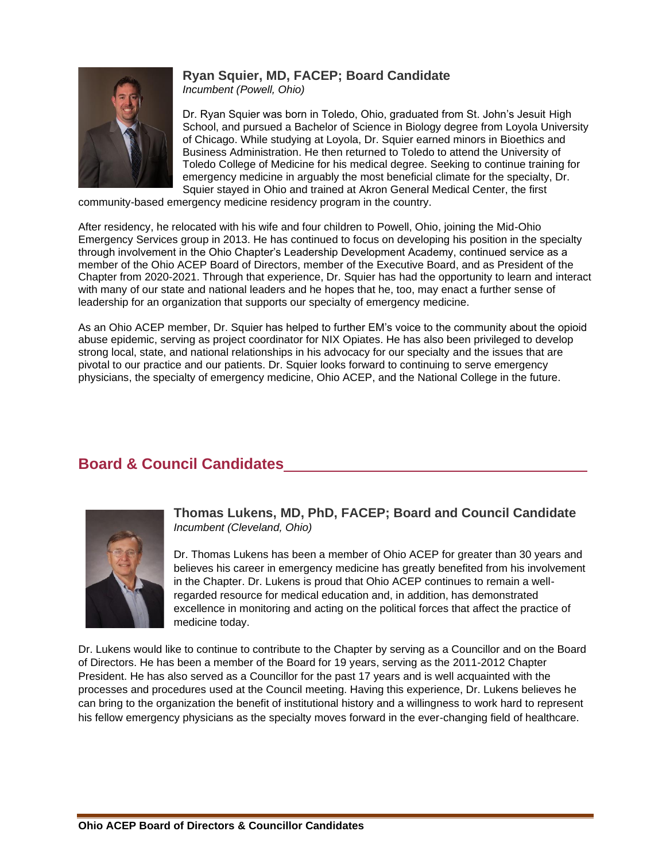### **Ryan Squier, MD, FACEP; Board Candidate**



*Incumbent (Powell, Ohio)*

Dr. Ryan Squier was born in Toledo, Ohio, graduated from St. John's Jesuit High School, and pursued a Bachelor of Science in Biology degree from Loyola University of Chicago. While studying at Loyola, Dr. Squier earned minors in Bioethics and Business Administration. He then returned to Toledo to attend the University of Toledo College of Medicine for his medical degree. Seeking to continue training for emergency medicine in arguably the most beneficial climate for the specialty, Dr. Squier stayed in Ohio and trained at Akron General Medical Center, the first

community-based emergency medicine residency program in the country.

After residency, he relocated with his wife and four children to Powell, Ohio, joining the Mid-Ohio Emergency Services group in 2013. He has continued to focus on developing his position in the specialty through involvement in the Ohio Chapter's Leadership Development Academy, continued service as a member of the Ohio ACEP Board of Directors, member of the Executive Board, and as President of the Chapter from 2020-2021. Through that experience, Dr. Squier has had the opportunity to learn and interact with many of our state and national leaders and he hopes that he, too, may enact a further sense of leadership for an organization that supports our specialty of emergency medicine.

As an Ohio ACEP member, Dr. Squier has helped to further EM's voice to the community about the opioid abuse epidemic, serving as project coordinator for NIX Opiates. He has also been privileged to develop strong local, state, and national relationships in his advocacy for our specialty and the issues that are pivotal to our practice and our patients. Dr. Squier looks forward to continuing to serve emergency physicians, the specialty of emergency medicine, Ohio ACEP, and the National College in the future.

### **Board & Council Candidates**



**Thomas Lukens, MD, PhD, FACEP; Board and Council Candidate** *Incumbent (Cleveland, Ohio)*

Dr. Thomas Lukens has been a member of Ohio ACEP for greater than 30 years and believes his career in emergency medicine has greatly benefited from his involvement in the Chapter. Dr. Lukens is proud that Ohio ACEP continues to remain a wellregarded resource for medical education and, in addition, has demonstrated excellence in monitoring and acting on the political forces that affect the practice of medicine today.

Dr. Lukens would like to continue to contribute to the Chapter by serving as a Councillor and on the Board of Directors. He has been a member of the Board for 19 years, serving as the 2011-2012 Chapter President. He has also served as a Councillor for the past 17 years and is well acquainted with the processes and procedures used at the Council meeting. Having this experience, Dr. Lukens believes he can bring to the organization the benefit of institutional history and a willingness to work hard to represent his fellow emergency physicians as the specialty moves forward in the ever-changing field of healthcare.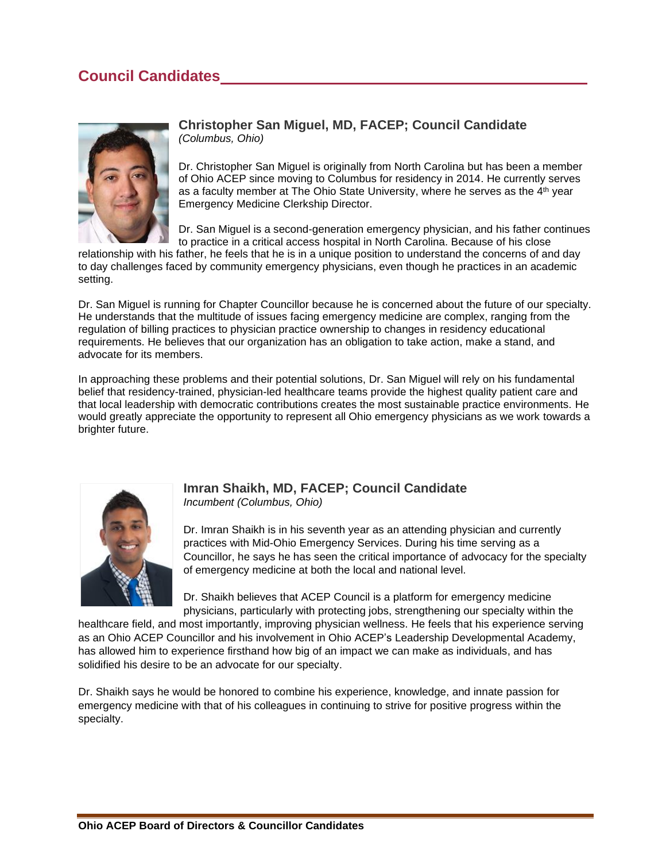### **Council Candidates**



#### **Christopher San Miguel, MD, FACEP; Council Candidate** *(Columbus, Ohio)*

Dr. Christopher San Miguel is originally from North Carolina but has been a member of Ohio ACEP since moving to Columbus for residency in 2014. He currently serves as a faculty member at The Ohio State University, where he serves as the 4<sup>th</sup> year Emergency Medicine Clerkship Director.

Dr. San Miguel is a second-generation emergency physician, and his father continues to practice in a critical access hospital in North Carolina. Because of his close

relationship with his father, he feels that he is in a unique position to understand the concerns of and day to day challenges faced by community emergency physicians, even though he practices in an academic setting.

Dr. San Miguel is running for Chapter Councillor because he is concerned about the future of our specialty. He understands that the multitude of issues facing emergency medicine are complex, ranging from the regulation of billing practices to physician practice ownership to changes in residency educational requirements. He believes that our organization has an obligation to take action, make a stand, and advocate for its members.

In approaching these problems and their potential solutions, Dr. San Miguel will rely on his fundamental belief that residency-trained, physician-led healthcare teams provide the highest quality patient care and that local leadership with democratic contributions creates the most sustainable practice environments. He would greatly appreciate the opportunity to represent all Ohio emergency physicians as we work towards a brighter future.



#### **Imran Shaikh, MD, FACEP; Council Candidate** *Incumbent (Columbus, Ohio)*

Dr. Imran Shaikh is in his seventh year as an attending physician and currently practices with Mid-Ohio Emergency Services. During his time serving as a Councillor, he says he has seen the critical importance of advocacy for the specialty of emergency medicine at both the local and national level.

Dr. Shaikh believes that ACEP Council is a platform for emergency medicine physicians, particularly with protecting jobs, strengthening our specialty within the

healthcare field, and most importantly, improving physician wellness. He feels that his experience serving as an Ohio ACEP Councillor and his involvement in Ohio ACEP's Leadership Developmental Academy, has allowed him to experience firsthand how big of an impact we can make as individuals, and has solidified his desire to be an advocate for our specialty.

Dr. Shaikh says he would be honored to combine his experience, knowledge, and innate passion for emergency medicine with that of his colleagues in continuing to strive for positive progress within the specialty.